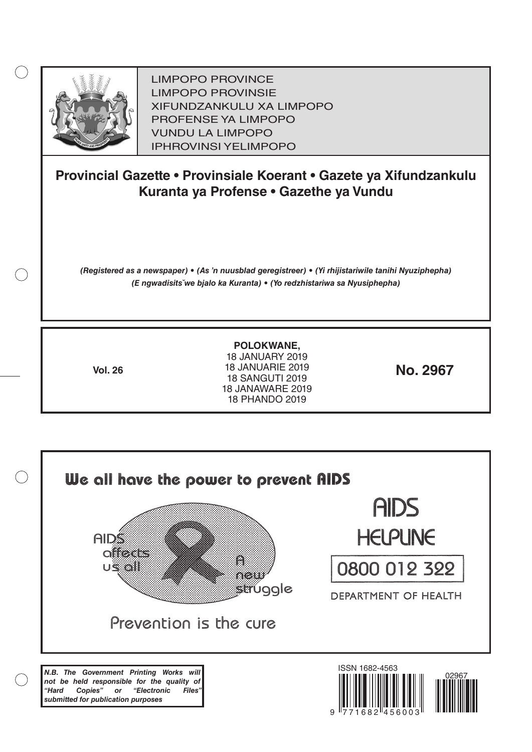

LIMPOPO PROVINCE LIMPOPO PROVINSIE XIFUNDZANKULU XA LIMPOPO PROFENSE YA LIMPOPO VUNDU LA LIMPOPO IPHROVINSI YELIMPOPO

## **Provincial Gazette • Provinsiale Koerant • Gazete ya Xifundzankulu Kuranta ya Profense • Gazethe ya Vundu**

*(Registered as a newspaper) • (As 'n nuusblad geregistreer) • (Yi rhijistariwile tanihi Nyuziphepha) (E ngwadisitsˇwe bjalo ka Kuranta) • (Yo redzhistariwa sa Nyusiphepha)*

**POLOKWANE,** 18 JANUARY 2019 18 JANUARIE 2019 18 SANGUTI 2019 18 JANAWARE 2019 18 PHANDO 2019 **Vol. 26 No. 2967**

9 <sup>11</sup>771682 <sup>11</sup>456003

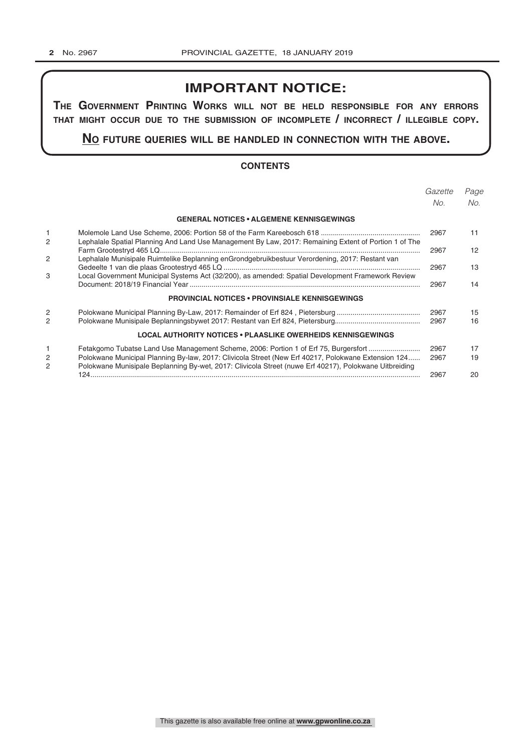## **IMPORTANT NOTICE:**

**The GovernmenT PrinTinG Works Will noT be held resPonsible for any errors ThaT miGhT occur due To The submission of incomPleTe / incorrecT / illeGible coPy.**

**no fuTure queries Will be handled in connecTion WiTh The above.**

#### **CONTENTS**

|   |                                                                                                                                                                                                               | Gazette      | Page     |
|---|---------------------------------------------------------------------------------------------------------------------------------------------------------------------------------------------------------------|--------------|----------|
|   |                                                                                                                                                                                                               | No.          | No.      |
|   | <b>GENERAL NOTICES • ALGEMENE KENNISGEWINGS</b>                                                                                                                                                               |              |          |
|   | Lephalale Spatial Planning And Land Use Management By Law, 2017: Remaining Extent of Portion 1 of The                                                                                                         | 2967         | 11       |
|   |                                                                                                                                                                                                               | 2967         | 12       |
|   | Lephalale Munisipale Ruimtelike Beplanning enGrondgebruikbestuur Verordening, 2017: Restant van                                                                                                               | 2967         | 13       |
| 3 | Local Government Municipal Systems Act (32/200), as amended: Spatial Development Framework Review                                                                                                             | 2967         | 14       |
|   | <b>PROVINCIAL NOTICES • PROVINSIALE KENNISGEWINGS</b>                                                                                                                                                         |              |          |
|   |                                                                                                                                                                                                               | 2967<br>2967 | 15<br>16 |
|   | LOCAL AUTHORITY NOTICES • PLAASLIKE OWERHEIDS KENNISGEWINGS                                                                                                                                                   |              |          |
|   | Fetakgomo Tubatse Land Use Management Scheme, 2006: Portion 1 of Erf 75, Burgersfort                                                                                                                          | 2967         | 17       |
|   | Polokwane Municipal Planning By-law, 2017: Clivicola Street (New Erf 40217, Polokwane Extension 124<br>Polokwane Munisipale Beplanning By-wet, 2017: Clivicola Street (nuwe Erf 40217), Polokwane Uitbreiding | 2967         | 19       |
|   |                                                                                                                                                                                                               | 2967         | 20       |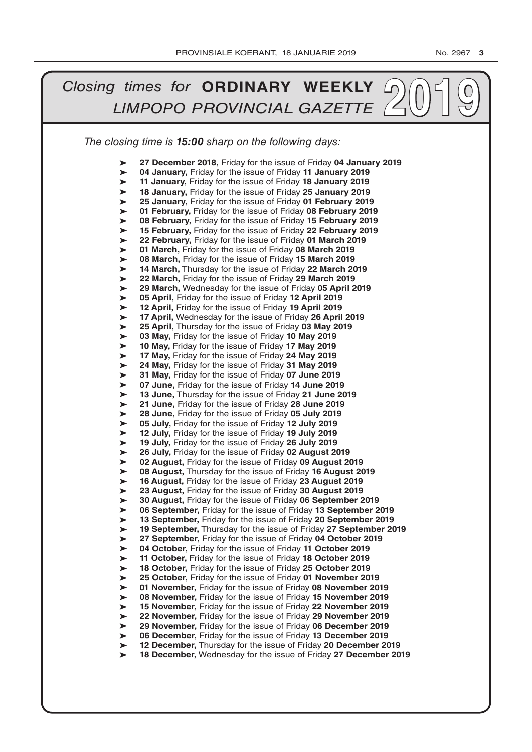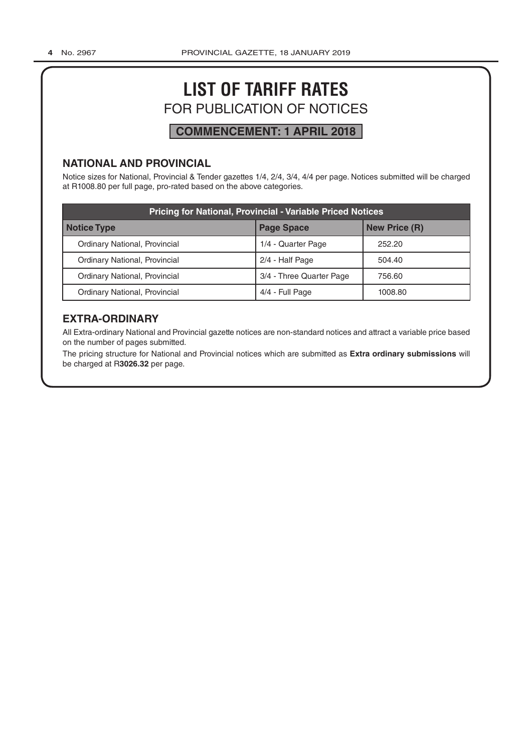# **LIST OF TARIFF RATES** FOR PUBLICATION OF NOTICES

## **COMMENCEMENT: 1 APRIL 2018**

### **NATIONAL AND PROVINCIAL**

Notice sizes for National, Provincial & Tender gazettes 1/4, 2/4, 3/4, 4/4 per page. Notices submitted will be charged at R1008.80 per full page, pro-rated based on the above categories.

| <b>Pricing for National, Provincial - Variable Priced Notices</b> |                          |                      |  |
|-------------------------------------------------------------------|--------------------------|----------------------|--|
| Notice Type                                                       | <b>Page Space</b>        | <b>New Price (R)</b> |  |
| Ordinary National, Provincial                                     | 1/4 - Quarter Page       | 252.20               |  |
| Ordinary National, Provincial                                     | 2/4 - Half Page          | 504.40               |  |
| Ordinary National, Provincial                                     | 3/4 - Three Quarter Page | 756.60               |  |
| Ordinary National, Provincial                                     | 4/4 - Full Page          | 1008.80              |  |

### **EXTRA-ORDINARY**

All Extra-ordinary National and Provincial gazette notices are non-standard notices and attract a variable price based on the number of pages submitted.

The pricing structure for National and Provincial notices which are submitted as **Extra ordinary submissions** will be charged at R**3026.32** per page.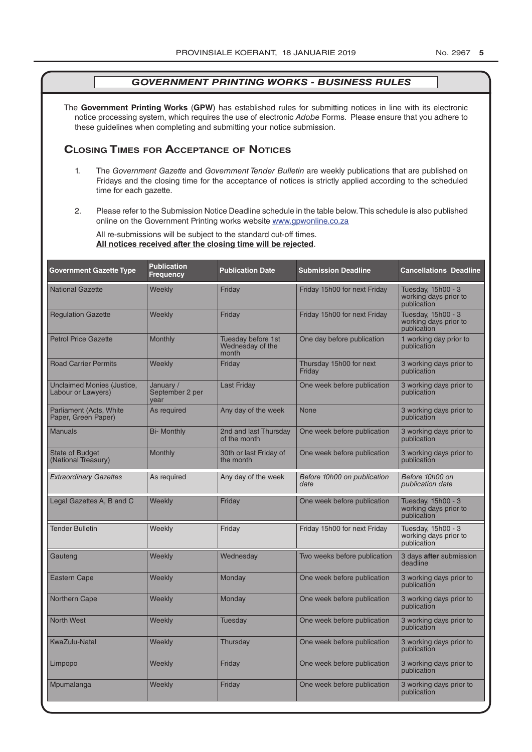The **Government Printing Works** (**GPW**) has established rules for submitting notices in line with its electronic notice processing system, which requires the use of electronic *Adobe* Forms. Please ensure that you adhere to these guidelines when completing and submitting your notice submission.

### **Closing Times for ACCepTAnCe of noTiCes**

- 1. The *Government Gazette* and *Government Tender Bulletin* are weekly publications that are published on Fridays and the closing time for the acceptance of notices is strictly applied according to the scheduled time for each gazette.
- 2. Please refer to the Submission Notice Deadline schedule in the table below. This schedule is also published online on the Government Printing works website www.gpwonline.co.za

All re-submissions will be subject to the standard cut-off times. **All notices received after the closing time will be rejected**.

| <b>Government Gazette Type</b>                   | <b>Publication</b><br><b>Frequency</b> | <b>Publication Date</b>                         | <b>Submission Deadline</b>          | <b>Cancellations Deadline</b>                              |
|--------------------------------------------------|----------------------------------------|-------------------------------------------------|-------------------------------------|------------------------------------------------------------|
| <b>National Gazette</b>                          | Weekly                                 | Friday                                          | Friday 15h00 for next Friday        | Tuesday, 15h00 - 3<br>working days prior to<br>publication |
| <b>Regulation Gazette</b>                        | Weekly                                 | Friday                                          | Friday 15h00 for next Friday        | Tuesday, 15h00 - 3<br>working days prior to<br>publication |
| <b>Petrol Price Gazette</b>                      | Monthly                                | Tuesday before 1st<br>Wednesday of the<br>month | One day before publication          | 1 working day prior to<br>publication                      |
| <b>Road Carrier Permits</b>                      | Weekly                                 | Friday                                          | Thursday 15h00 for next<br>Friday   | 3 working days prior to<br>publication                     |
| Unclaimed Monies (Justice,<br>Labour or Lawyers) | January /<br>September 2 per<br>vear   | <b>Last Friday</b>                              | One week before publication         | 3 working days prior to<br>publication                     |
| Parliament (Acts, White<br>Paper, Green Paper)   | As required                            | Any day of the week                             | None                                | 3 working days prior to<br>publication                     |
| <b>Manuals</b>                                   | <b>Bi- Monthly</b>                     | 2nd and last Thursday<br>of the month           | One week before publication         | 3 working days prior to<br>publication                     |
| <b>State of Budget</b><br>(National Treasury)    | Monthly                                | 30th or last Friday of<br>the month             | One week before publication         | 3 working days prior to<br>publication                     |
| <b>Extraordinary Gazettes</b>                    | As required                            | Any day of the week                             | Before 10h00 on publication<br>date | Before 10h00 on<br>publication date                        |
| Legal Gazettes A, B and C                        | Weekly                                 | Friday                                          | One week before publication         | Tuesday, 15h00 - 3<br>working days prior to<br>publication |
| <b>Tender Bulletin</b>                           | Weekly                                 | Friday                                          | Friday 15h00 for next Friday        | Tuesday, 15h00 - 3<br>working days prior to<br>publication |
| Gauteng                                          | Weekly                                 | Wednesday                                       | Two weeks before publication        | 3 days after submission<br>deadline                        |
| <b>Eastern Cape</b>                              | Weekly                                 | Monday                                          | One week before publication         | 3 working days prior to<br>publication                     |
| <b>Northern Cape</b>                             | Weekly                                 | Monday                                          | One week before publication         | 3 working days prior to<br>publication                     |
| <b>North West</b>                                | Weekly                                 | Tuesdav                                         | One week before publication         | 3 working days prior to<br>publication                     |
| <b>KwaZulu-Natal</b>                             | Weekly                                 | Thursday                                        | One week before publication         | 3 working days prior to<br>publication                     |
| Limpopo                                          | Weekly                                 | Friday                                          | One week before publication         | 3 working days prior to<br>publication                     |
| Mpumalanga                                       | Weekly                                 | Friday                                          | One week before publication         | 3 working days prior to<br>publication                     |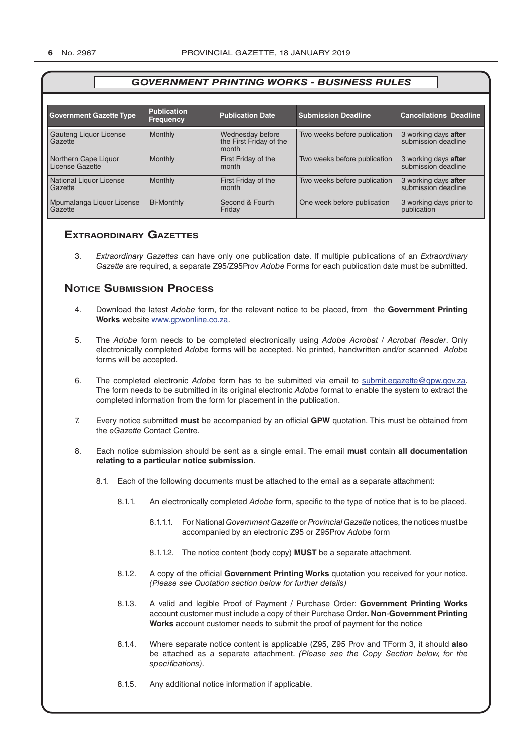| <b>Government Gazette Type</b>          | <b>Publication</b><br><b>Frequency</b> | <b>Publication Date</b>                              | <b>Submission Deadline</b>   | <b>Cancellations Deadline</b>               |
|-----------------------------------------|----------------------------------------|------------------------------------------------------|------------------------------|---------------------------------------------|
| Gauteng Liquor License<br>Gazette       | <b>Monthly</b>                         | Wednesday before<br>the First Friday of the<br>month | Two weeks before publication | 3 working days after<br>submission deadline |
| Northern Cape Liquor<br>License Gazette | <b>Monthly</b>                         | First Friday of the<br>month                         | Two weeks before publication | 3 working days after<br>submission deadline |
| National Liquor License<br>Gazette      | <b>Monthly</b>                         | First Friday of the<br>month                         | Two weeks before publication | 3 working days after<br>submission deadline |
| Mpumalanga Liquor License<br>Gazette    | <b>Bi-Monthly</b>                      | Second & Fourth<br>Friday                            | One week before publication  | 3 working days prior to<br>publication      |

### **exTrAordinAry gAzeTTes**

3. *Extraordinary Gazettes* can have only one publication date. If multiple publications of an *Extraordinary Gazette* are required, a separate Z95/Z95Prov *Adobe* Forms for each publication date must be submitted.

### **NOTICE SUBMISSION PROCESS**

- 4. Download the latest *Adobe* form, for the relevant notice to be placed, from the **Government Printing Works** website www.gpwonline.co.za.
- 5. The *Adobe* form needs to be completed electronically using *Adobe Acrobat* / *Acrobat Reader*. Only electronically completed *Adobe* forms will be accepted. No printed, handwritten and/or scanned *Adobe* forms will be accepted.
- 6. The completed electronic *Adobe* form has to be submitted via email to submit.egazette@gpw.gov.za. The form needs to be submitted in its original electronic *Adobe* format to enable the system to extract the completed information from the form for placement in the publication.
- 7. Every notice submitted **must** be accompanied by an official **GPW** quotation. This must be obtained from the *eGazette* Contact Centre.
- 8. Each notice submission should be sent as a single email. The email **must** contain **all documentation relating to a particular notice submission**.
	- 8.1. Each of the following documents must be attached to the email as a separate attachment:
		- 8.1.1. An electronically completed *Adobe* form, specific to the type of notice that is to be placed.
			- 8.1.1.1. For National *Government Gazette* or *Provincial Gazette* notices, the notices must be accompanied by an electronic Z95 or Z95Prov *Adobe* form
			- 8.1.1.2. The notice content (body copy) **MUST** be a separate attachment.
		- 8.1.2. A copy of the official **Government Printing Works** quotation you received for your notice. *(Please see Quotation section below for further details)*
		- 8.1.3. A valid and legible Proof of Payment / Purchase Order: **Government Printing Works** account customer must include a copy of their Purchase Order*.* **Non**-**Government Printing Works** account customer needs to submit the proof of payment for the notice
		- 8.1.4. Where separate notice content is applicable (Z95, Z95 Prov and TForm 3, it should **also** be attached as a separate attachment. *(Please see the Copy Section below, for the specifications)*.
		- 8.1.5. Any additional notice information if applicable.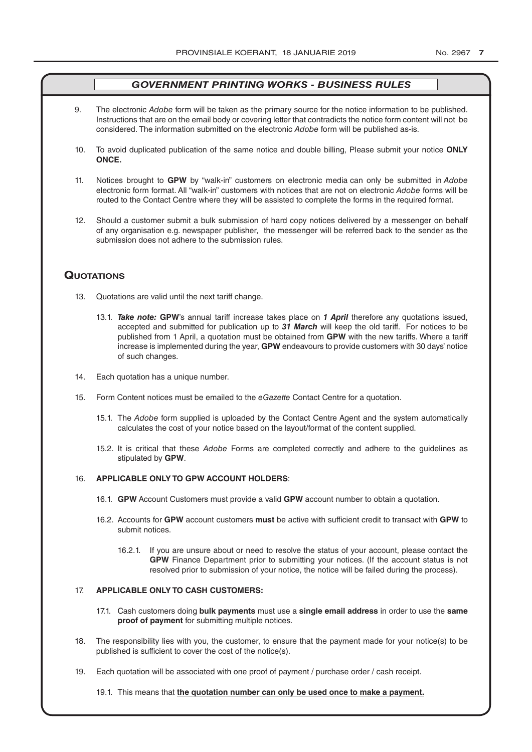- 9. The electronic *Adobe* form will be taken as the primary source for the notice information to be published. Instructions that are on the email body or covering letter that contradicts the notice form content will not be considered. The information submitted on the electronic *Adobe* form will be published as-is.
- 10. To avoid duplicated publication of the same notice and double billing, Please submit your notice **ONLY ONCE.**
- 11. Notices brought to **GPW** by "walk-in" customers on electronic media can only be submitted in *Adobe* electronic form format. All "walk-in" customers with notices that are not on electronic *Adobe* forms will be routed to the Contact Centre where they will be assisted to complete the forms in the required format.
- 12. Should a customer submit a bulk submission of hard copy notices delivered by a messenger on behalf of any organisation e.g. newspaper publisher, the messenger will be referred back to the sender as the submission does not adhere to the submission rules.

### **QuoTATions**

- 13. Quotations are valid until the next tariff change.
	- 13.1. *Take note:* **GPW**'s annual tariff increase takes place on *1 April* therefore any quotations issued, accepted and submitted for publication up to *31 March* will keep the old tariff. For notices to be published from 1 April, a quotation must be obtained from **GPW** with the new tariffs. Where a tariff increase is implemented during the year, **GPW** endeavours to provide customers with 30 days' notice of such changes.
- 14. Each quotation has a unique number.
- 15. Form Content notices must be emailed to the *eGazette* Contact Centre for a quotation.
	- 15.1. The *Adobe* form supplied is uploaded by the Contact Centre Agent and the system automatically calculates the cost of your notice based on the layout/format of the content supplied.
	- 15.2. It is critical that these *Adobe* Forms are completed correctly and adhere to the guidelines as stipulated by **GPW**.

#### 16. **APPLICABLE ONLY TO GPW ACCOUNT HOLDERS**:

- 16.1. **GPW** Account Customers must provide a valid **GPW** account number to obtain a quotation.
- 16.2. Accounts for **GPW** account customers **must** be active with sufficient credit to transact with **GPW** to submit notices.
	- 16.2.1. If you are unsure about or need to resolve the status of your account, please contact the **GPW** Finance Department prior to submitting your notices. (If the account status is not resolved prior to submission of your notice, the notice will be failed during the process).

#### 17. **APPLICABLE ONLY TO CASH CUSTOMERS:**

- 17.1. Cash customers doing **bulk payments** must use a **single email address** in order to use the **same proof of payment** for submitting multiple notices.
- 18. The responsibility lies with you, the customer, to ensure that the payment made for your notice(s) to be published is sufficient to cover the cost of the notice(s).
- 19. Each quotation will be associated with one proof of payment / purchase order / cash receipt.

19.1. This means that **the quotation number can only be used once to make a payment.**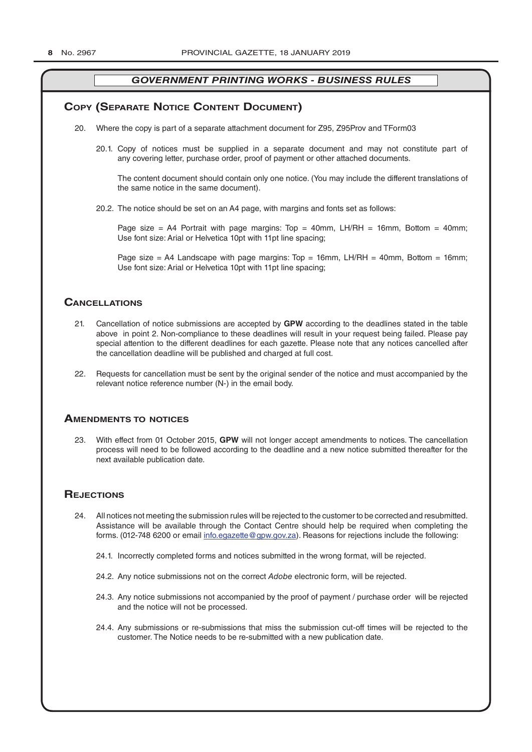### **COPY (SEPARATE NOTICE CONTENT DOCUMENT)**

- 20. Where the copy is part of a separate attachment document for Z95, Z95Prov and TForm03
	- 20.1. Copy of notices must be supplied in a separate document and may not constitute part of any covering letter, purchase order, proof of payment or other attached documents.

The content document should contain only one notice. (You may include the different translations of the same notice in the same document).

20.2. The notice should be set on an A4 page, with margins and fonts set as follows:

Page size = A4 Portrait with page margins: Top = 40mm, LH/RH = 16mm, Bottom = 40mm; Use font size: Arial or Helvetica 10pt with 11pt line spacing;

Page size = A4 Landscape with page margins:  $Top = 16mm$ , LH/RH = 40mm, Bottom = 16mm; Use font size: Arial or Helvetica 10pt with 11pt line spacing;

#### **CAnCellATions**

- 21. Cancellation of notice submissions are accepted by **GPW** according to the deadlines stated in the table above in point 2. Non-compliance to these deadlines will result in your request being failed. Please pay special attention to the different deadlines for each gazette. Please note that any notices cancelled after the cancellation deadline will be published and charged at full cost.
- 22. Requests for cancellation must be sent by the original sender of the notice and must accompanied by the relevant notice reference number (N-) in the email body.

#### **AmendmenTs To noTiCes**

23. With effect from 01 October 2015, **GPW** will not longer accept amendments to notices. The cancellation process will need to be followed according to the deadline and a new notice submitted thereafter for the next available publication date.

### **REJECTIONS**

- 24. All notices not meeting the submission rules will be rejected to the customer to be corrected and resubmitted. Assistance will be available through the Contact Centre should help be required when completing the forms. (012-748 6200 or email info.egazette@gpw.gov.za). Reasons for rejections include the following:
	- 24.1. Incorrectly completed forms and notices submitted in the wrong format, will be rejected.
	- 24.2. Any notice submissions not on the correct *Adobe* electronic form, will be rejected.
	- 24.3. Any notice submissions not accompanied by the proof of payment / purchase order will be rejected and the notice will not be processed.
	- 24.4. Any submissions or re-submissions that miss the submission cut-off times will be rejected to the customer. The Notice needs to be re-submitted with a new publication date.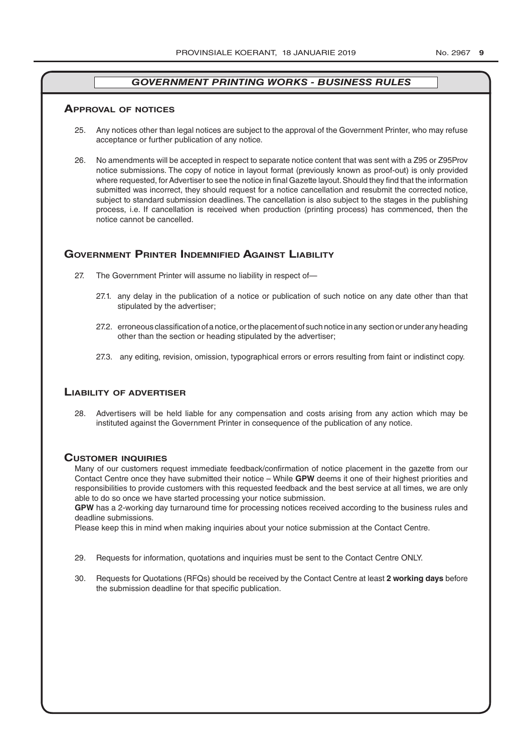#### **ApprovAl of noTiCes**

- 25. Any notices other than legal notices are subject to the approval of the Government Printer, who may refuse acceptance or further publication of any notice.
- 26. No amendments will be accepted in respect to separate notice content that was sent with a Z95 or Z95Prov notice submissions. The copy of notice in layout format (previously known as proof-out) is only provided where requested, for Advertiser to see the notice in final Gazette layout. Should they find that the information submitted was incorrect, they should request for a notice cancellation and resubmit the corrected notice, subject to standard submission deadlines. The cancellation is also subject to the stages in the publishing process, i.e. If cancellation is received when production (printing process) has commenced, then the notice cannot be cancelled.

### **governmenT prinTer indemnified AgAinsT liAbiliTy**

- 27. The Government Printer will assume no liability in respect of—
	- 27.1. any delay in the publication of a notice or publication of such notice on any date other than that stipulated by the advertiser;
	- 27.2. erroneous classification of a notice, or the placement of such notice in any section or under any heading other than the section or heading stipulated by the advertiser;
	- 27.3. any editing, revision, omission, typographical errors or errors resulting from faint or indistinct copy.

#### **liAbiliTy of AdverTiser**

28. Advertisers will be held liable for any compensation and costs arising from any action which may be instituted against the Government Printer in consequence of the publication of any notice.

#### **CusTomer inQuiries**

Many of our customers request immediate feedback/confirmation of notice placement in the gazette from our Contact Centre once they have submitted their notice – While **GPW** deems it one of their highest priorities and responsibilities to provide customers with this requested feedback and the best service at all times, we are only able to do so once we have started processing your notice submission.

**GPW** has a 2-working day turnaround time for processing notices received according to the business rules and deadline submissions.

Please keep this in mind when making inquiries about your notice submission at the Contact Centre.

- 29. Requests for information, quotations and inquiries must be sent to the Contact Centre ONLY.
- 30. Requests for Quotations (RFQs) should be received by the Contact Centre at least **2 working days** before the submission deadline for that specific publication.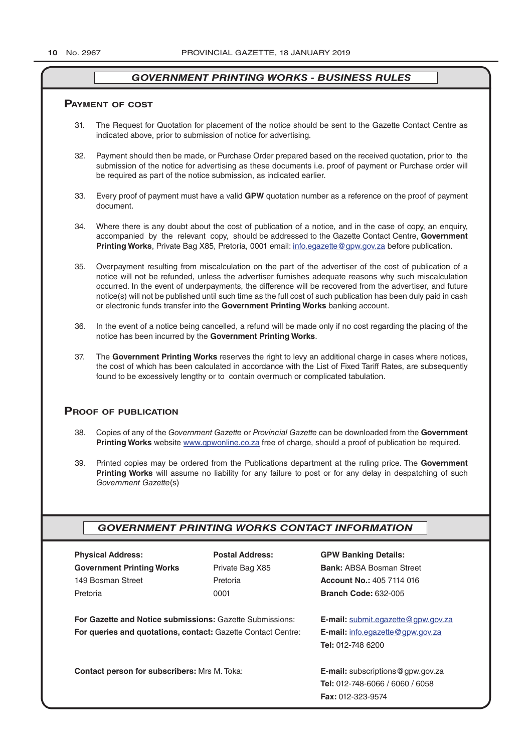#### **pAymenT of CosT**

- 31. The Request for Quotation for placement of the notice should be sent to the Gazette Contact Centre as indicated above, prior to submission of notice for advertising.
- 32. Payment should then be made, or Purchase Order prepared based on the received quotation, prior to the submission of the notice for advertising as these documents i.e. proof of payment or Purchase order will be required as part of the notice submission, as indicated earlier.
- 33. Every proof of payment must have a valid **GPW** quotation number as a reference on the proof of payment document.
- 34. Where there is any doubt about the cost of publication of a notice, and in the case of copy, an enquiry, accompanied by the relevant copy, should be addressed to the Gazette Contact Centre, **Government Printing Works**, Private Bag X85, Pretoria, 0001 email: info.egazette@gpw.gov.za before publication.
- 35. Overpayment resulting from miscalculation on the part of the advertiser of the cost of publication of a notice will not be refunded, unless the advertiser furnishes adequate reasons why such miscalculation occurred. In the event of underpayments, the difference will be recovered from the advertiser, and future notice(s) will not be published until such time as the full cost of such publication has been duly paid in cash or electronic funds transfer into the **Government Printing Works** banking account.
- 36. In the event of a notice being cancelled, a refund will be made only if no cost regarding the placing of the notice has been incurred by the **Government Printing Works**.
- 37. The **Government Printing Works** reserves the right to levy an additional charge in cases where notices, the cost of which has been calculated in accordance with the List of Fixed Tariff Rates, are subsequently found to be excessively lengthy or to contain overmuch or complicated tabulation.

#### **proof of publiCATion**

- 38. Copies of any of the *Government Gazette* or *Provincial Gazette* can be downloaded from the **Government Printing Works** website www.gpwonline.co.za free of charge, should a proof of publication be required.
- 39. Printed copies may be ordered from the Publications department at the ruling price. The **Government Printing Works** will assume no liability for any failure to post or for any delay in despatching of such *Government Gazette*(s)

#### *GOVERNMENT PRINTING WORKS CONTACT INFORMATION*

| <b>Physical Address:</b>                                     | <b>Postal Address:</b> | <b>GPW Banking Details:</b>               |
|--------------------------------------------------------------|------------------------|-------------------------------------------|
| <b>Government Printing Works</b>                             | Private Bag X85        | <b>Bank: ABSA Bosman Street</b>           |
| 149 Bosman Street                                            | Pretoria               | <b>Account No.: 405 7114 016</b>          |
| Pretoria                                                     | 0001                   | <b>Branch Code: 632-005</b>               |
| For Gazette and Notice submissions: Gazette Submissions:     |                        | <b>E-mail:</b> submit.eqazette@gpw.gov.za |
| For queries and quotations, contact: Gazette Contact Centre: |                        | <b>E-mail:</b> info.egazette@gpw.gov.za   |
|                                                              |                        | <b>Tel: 012-748 6200</b>                  |
| <b>Contact person for subscribers: Mrs M. Toka:</b>          |                        | <b>E-mail:</b> subscriptions@gpw.gov.za   |
|                                                              |                        | <b>Tel: 012-748-6066 / 6060 / 6058</b>    |
|                                                              |                        | <b>Fax: 012-323-9574</b>                  |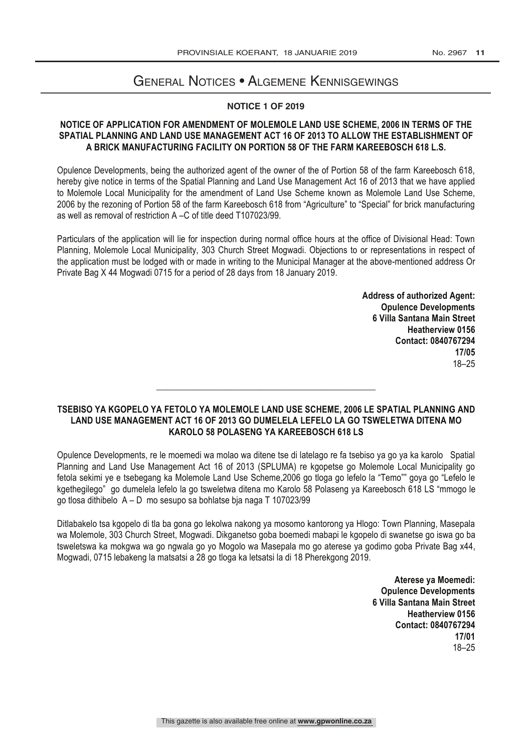## General Notices • Algemene Kennisgewings

#### **NOTICE 1 OF 2019**

### **NOTICE OF APPLICATION FOR AMENDMENT OF MOLEMOLE LAND USE SCHEME, 2006 IN TERMS OF THE SPATIAL PLANNING AND LAND USE MANAGEMENT ACT 16 OF 2013 TO ALLOW THE ESTABLISHMENT OF A BRICK MANUFACTURING FACILITY ON PORTION 58 OF THE FARM KAREEBOSCH 618 L.S.**

Opulence Developments, being the authorized agent of the owner of the of Portion 58 of the farm Kareebosch 618, hereby give notice in terms of the Spatial Planning and Land Use Management Act 16 of 2013 that we have applied to Molemole Local Municipality for the amendment of Land Use Scheme known as Molemole Land Use Scheme, 2006 by the rezoning of Portion 58 of the farm Kareebosch 618 from "Agriculture" to "Special" for brick manufacturing as well as removal of restriction A –C of title deed T107023/99.

Particulars of the application will lie for inspection during normal office hours at the office of Divisional Head: Town Planning, Molemole Local Municipality, 303 Church Street Mogwadi. Objections to or representations in respect of the application must be lodged with or made in writing to the Municipal Manager at the above-mentioned address Or Private Bag X 44 Mogwadi 0715 for a period of 28 days from 18 January 2019.

> **Address of authorized Agent: Opulence Developments 6 Villa Santana Main Street Heatherview 0156 Contact: 0840767294 17/05** 18–25

### **TSEBISO YA KGOPELO YA FETOLO YA MOLEMOLE LAND USE SCHEME, 2006 LE SPATIAL PLANNING AND LAND USE MANAGEMENT ACT 16 OF 2013 GO DUMELELA LEFELO LA GO TSWELETWA DITENA MO KAROLO 58 POLASENG YA KAREEBOSCH 618 LS**

\_\_\_\_\_\_\_\_\_\_\_\_\_\_\_\_\_\_\_\_\_\_\_\_\_\_\_\_\_\_\_\_\_\_\_\_\_\_\_\_\_\_\_\_\_\_\_\_\_

Opulence Developments, re le moemedi wa molao wa ditene tse di latelago re fa tsebiso ya go ya ka karolo Spatial Planning and Land Use Management Act 16 of 2013 (SPLUMA) re kgopetse go Molemole Local Municipality go fetola sekimi ye e tsebegang ka Molemole Land Use Scheme,2006 go tloga go lefelo la "Temo"" goya go "Lefelo le kgethegilego" go dumelela lefelo la go tsweletwa ditena mo Karolo 58 Polaseng ya Kareebosch 618 LS "mmogo le go tlosa dithibelo A – D mo sesupo sa bohlatse bja naga T 107023/99

Ditlabakelo tsa kgopelo di tla ba gona go lekolwa nakong ya mosomo kantorong ya Hlogo: Town Planning, Masepala wa Molemole, 303 Church Street, Mogwadi. Dikganetso goba boemedi mabapi le kgopelo di swanetse go iswa go ba tsweletswa ka mokgwa wa go ngwala go yo Mogolo wa Masepala mo go aterese ya godimo goba Private Bag x44, Mogwadi, 0715 lebakeng la matsatsi a 28 go tloga ka letsatsi la di 18 Pherekgong 2019.

> **Aterese ya Moemedi: Opulence Developments 6 Villa Santana Main Street Heatherview 0156 Contact: 0840767294 17/01** 18–25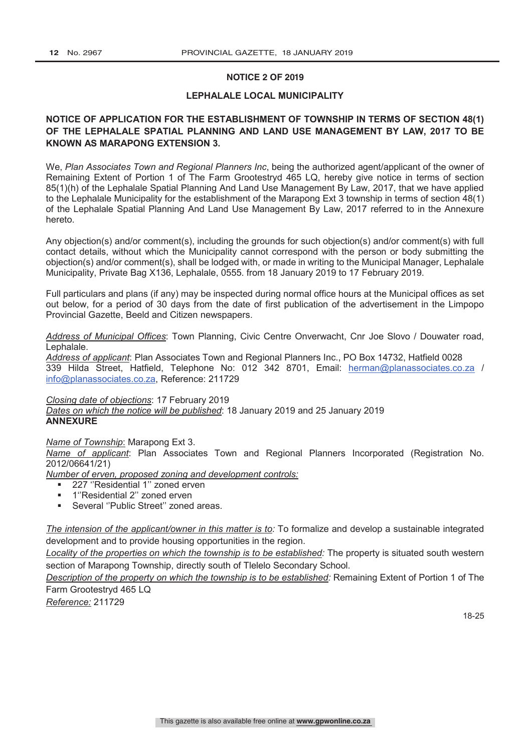#### **NOTICE 2 OF 2019**

#### **LEPHALALE LOCAL MUNICIPALITY**

### **NOTICE OF APPLICATION FOR THE ESTABLISHMENT OF TOWNSHIP IN TERMS OF SECTION 48(1) OF THE LEPHALALE SPATIAL PLANNING AND LAND USE MANAGEMENT BY LAW, 2017 TO BE KNOWN AS MARAPONG EXTENSION 3.**

We, *Plan Associates Town and Regional Planners Inc*, being the authorized agent/applicant of the owner of Remaining Extent of Portion 1 of The Farm Grootestryd 465 LQ, hereby give notice in terms of section 85(1)(h) of the Lephalale Spatial Planning And Land Use Management By Law, 2017, that we have applied to the Lephalale Municipality for the establishment of the Marapong Ext 3 township in terms of section 48(1) of the Lephalale Spatial Planning And Land Use Management By Law, 2017 referred to in the Annexure hereto.

Any objection(s) and/or comment(s), including the grounds for such objection(s) and/or comment(s) with full contact details, without which the Municipality cannot correspond with the person or body submitting the objection(s) and/or comment(s), shall be lodged with, or made in writing to the Municipal Manager, Lephalale Municipality, Private Bag X136, Lephalale, 0555. from 18 January 2019 to 17 February 2019.

Full particulars and plans (if any) may be inspected during normal office hours at the Municipal offices as set out below, for a period of 30 days from the date of first publication of the advertisement in the Limpopo Provincial Gazette, Beeld and Citizen newspapers.

*Address of Municipal Offices*: Town Planning, Civic Centre Onverwacht, Cnr Joe Slovo / Douwater road, Lephalale.

*Address of applicant*: Plan Associates Town and Regional Planners Inc., PO Box 14732, Hatfield 0028 339 Hilda Street, Hatfield, Telephone No: 012 342 8701, Email: herman@planassociates.co.za / info@planassociates.co.za, Reference: 211729

*Closing date of objections*: 17 February 2019 *Dates on which the notice will be published*: 18 January 2019 and 25 January 2019 **ANNEXURE**

*Name of Township*: Marapong Ext 3.

*Name of applicant*: Plan Associates Town and Regional Planners Incorporated (Registration No. 2012/06641/21)

*Number of erven, proposed zoning and development controls:* 

- 227 "Residential 1" zoned erven
- 1''Residential 2'' zoned erven
- Several "Public Street" zoned areas.

*The intension of the applicant/owner in this matter is to:* To formalize and develop a sustainable integrated development and to provide housing opportunities in the region.

*Locality of the properties on which the township is to be established:* The property is situated south western section of Marapong Township, directly south of Tlelelo Secondary School.

*Description of the property on which the township is to be established:* Remaining Extent of Portion 1 of The Farm Grootestryd 465 LQ

*Reference:* 211729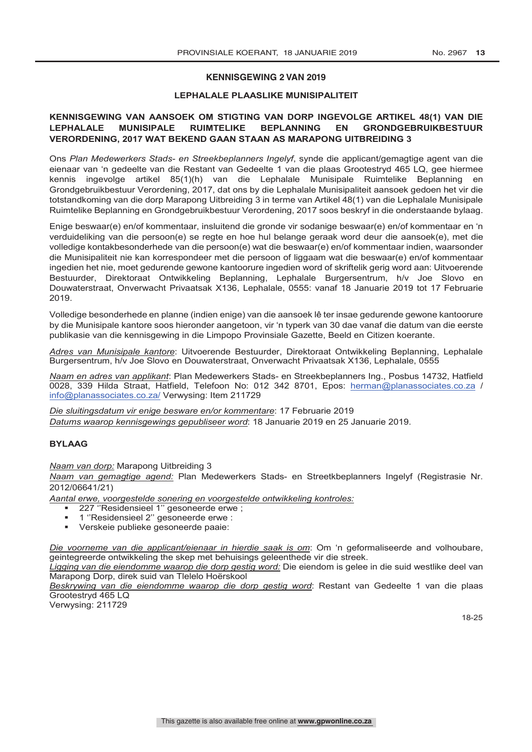#### **KENNISGEWING 2 VAN 2019**

#### **LEPHALALE PLAASLIKE MUNISIPALITEIT**

#### **KENNISGEWING VAN AANSOEK OM STIGTING VAN DORP INGEVOLGE ARTIKEL 48(1) VAN DIE LEPHALALE MUNISIPALE RUIMTELIKE BEPLANNING EN GRONDGEBRUIKBESTUUR VERORDENING, 2017 WAT BEKEND GAAN STAAN AS MARAPONG UITBREIDING 3**

Ons *Plan Medewerkers Stads- en Streekbeplanners Ingelyf*, synde die applicant/gemagtige agent van die eienaar van 'n gedeelte van die Restant van Gedeelte 1 van die plaas Grootestryd 465 LQ, gee hiermee kennis ingevolge artikel 85(1)(h) van die Lephalale Munisipale Ruimtelike Beplanning en Grondgebruikbestuur Verordening, 2017, dat ons by die Lephalale Munisipaliteit aansoek gedoen het vir die totstandkoming van die dorp Marapong Uitbreiding 3 in terme van Artikel 48(1) van die Lephalale Munisipale Ruimtelike Beplanning en Grondgebruikbestuur Verordening, 2017 soos beskryf in die onderstaande bylaag.

Enige beswaar(e) en/of kommentaar, insluitend die gronde vir sodanige beswaar(e) en/of kommentaar en 'n verduideliking van die persoon(e) se regte en hoe hul belange geraak word deur die aansoek(e), met die volledige kontakbesonderhede van die persoon(e) wat die beswaar(e) en/of kommentaar indien, waarsonder die Munisipaliteit nie kan korrespondeer met die persoon of liggaam wat die beswaar(e) en/of kommentaar ingedien het nie, moet gedurende gewone kantoorure ingedien word of skriftelik gerig word aan: Uitvoerende Bestuurder, Direktoraat Ontwikkeling Beplanning, Lephalale Burgersentrum, h/v Joe Slovo en Douwaterstraat, Onverwacht Privaatsak X136, Lephalale, 0555: vanaf 18 Januarie 2019 tot 17 Februarie 2019.

Volledige besonderhede en planne (indien enige) van die aansoek lê ter insae gedurende gewone kantoorure by die Munisipale kantore soos hieronder aangetoon, vir 'n typerk van 30 dae vanaf die datum van die eerste publikasie van die kennisgewing in die Limpopo Provinsiale Gazette, Beeld en Citizen koerante.

*Adres van Munisipale kantore*: Uitvoerende Bestuurder, Direktoraat Ontwikkeling Beplanning, Lephalale Burgersentrum, h/v Joe Slovo en Douwaterstraat, Onverwacht Privaatsak X136, Lephalale, 0555

*Naam en adres van applikant*: Plan Medewerkers Stads- en Streekbeplanners Ing., Posbus 14732, Hatfield 0028, 339 Hilda Straat, Hatfield, Telefoon No: 012 342 8701, Epos: herman@planassociates.co.za / info@planassociates.co.za/ Verwysing: Item 211729

*Die sluitingsdatum vir enige besware en/or kommentare*: 17 Februarie 2019 *Datums waarop kennisgewings gepubliseer word*: 18 Januarie 2019 en 25 Januarie 2019.

#### **BYLAAG**

*Naam van dorp:* Marapong Uitbreiding 3

*Naam van gemagtige agend:* Plan Medewerkers Stads- en Streetkbeplanners Ingelyf (Registrasie Nr. 2012/06641/21)

*Aantal erwe, voorgestelde sonering en voorgestelde ontwikkeling kontroles:*

- 227 ''Residensieel 1'' gesoneerde erwe ;
- 1 ''Residensieel 2'' gesoneerde erwe :<br>■ Nerskeie publieke gesoneerde paaie:
- Verskeie publieke gesoneerde paaie:

*Die voorneme van die applicant/eienaar in hierdie saak is om*: Om 'n geformaliseerde and volhoubare, geintegreerde ontwikkeling the skep met behuisings geleenthede vir die streek.

*Ligging van die eiendomme waarop die dorp gestig word:* Die eiendom is gelee in die suid westlike deel van Marapong Dorp, direk suid van Tlelelo Hoërskool

*Beskrywing van die eiendomme waarop die dorp gestig word*: Restant van Gedeelte 1 van die plaas Grootestryd 465 LQ

Verwysing: 211729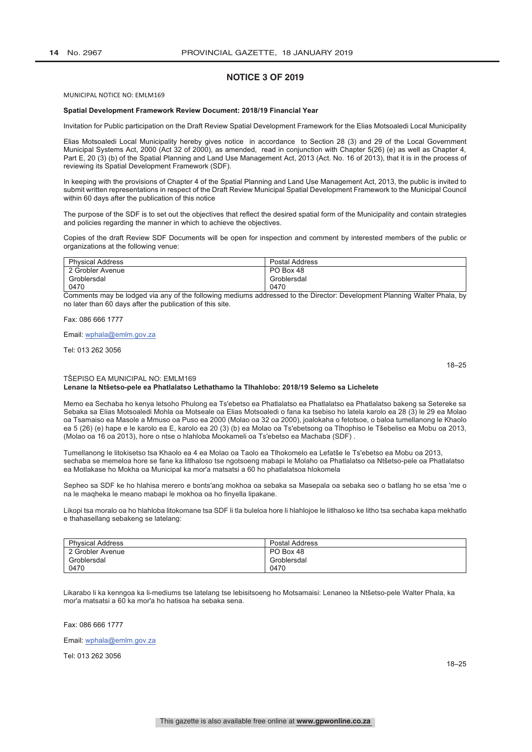#### **NOTICE 3 OF 2019**

#### MUNICIPAL NOTICE NO: EMLM169

#### **Spatial Development Framework Review Document: 2018/19 Financial Year**

Invitation for Public participation on the Draft Review Spatial Development Framework for the Elias Motsoaledi Local Municipality

Elias Motsoaledi Local Municipality hereby gives notice in accordance to Section 28 (3) and 29 of the Local Government Municipal Systems Act, 2000 (Act 32 of 2000), as amended, read in conjunction with Chapter 5(26) (e) as well as Chapter 4, Part E, 20 (3) (b) of the Spatial Planning and Land Use Management Act, 2013 (Act. No. 16 of 2013), that it is in the process of reviewing its Spatial Development Framework (SDF).

In keeping with the provisions of Chapter 4 of the Spatial Planning and Land Use Management Act, 2013, the public is invited to submit written representations in respect of the Draft Review Municipal Spatial Development Framework to the Municipal Council within 60 days after the publication of this notice

The purpose of the SDF is to set out the objectives that reflect the desired spatial form of the Municipality and contain strategies and policies regarding the manner in which to achieve the objectives.

Copies of the draft Review SDF Documents will be open for inspection and comment by interested members of the public or organizations at the following venue:

| <b>Physical Address</b> | Postal Address |
|-------------------------|----------------|
| 2 Grobler Avenue        | PO Box 48      |
| Groblersdal             | Groblersdal    |
| 0470                    | 0470           |

Comments may be lodged via any of the following mediums addressed to the Director: Development Planning Walter Phala, by no later than 60 days after the publication of this site.

Fax: 086 666 1777

Email: wphala@emlm.gov.za

Tel: 013 262 3056

18–25

#### TŠEPISO EA MUNICIPAL NO: EMLM169 **Lenane la Ntšetso-pele ea Phatlalatso Lethathamo la Tlhahlobo: 2018/19 Selemo sa Lichelete**

Memo ea Sechaba ho kenya letsoho Phulong ea Ts'ebetso ea Phatlalatso ea Phatlalatso ea Phatlalatso bakeng sa Setereke sa Sebaka sa Elias Motsoaledi Mohla oa Motseale oa Elias Motsoaledi o fana ka tsebiso ho latela karolo ea 28 (3) le 29 ea Molao oa Tsamaiso ea Masole a Mmuso oa Puso ea 2000 (Molao oa 32 oa 2000), joalokaha o fetotsoe, o baloa tumellanong le Khaolo ea 5 (26) (e) hape e le karolo ea E, karolo ea 20 (3) (b) ea Molao oa Ts'ebetsong oa Tlhophiso le Tšebeliso ea Mobu oa 2013, (Molao oa 16 oa 2013), hore o ntse o hlahloba Mookameli oa Ts'ebetso ea Machaba (SDF) .

Tumellanong le litokisetso tsa Khaolo ea 4 ea Molao oa Taolo ea Tlhokomelo ea Lefatše le Ts'ebetso ea Mobu oa 2013, sechaba se memeloa hore se fane ka litlhaloso tse ngotsoeng mabapi le Molaho oa Phatlalatso oa Ntšetso-pele oa Phatlalatso ea Motlakase ho Mokha oa Municipal ka mor'a matsatsi a 60 ho phatlalatsoa hlokomela

Sepheo sa SDF ke ho hlahisa merero e bonts'ang mokhoa oa sebaka sa Masepala oa sebaka seo o batlang ho se etsa 'me o na le maqheka le meano mabapi le mokhoa oa ho finyella lipakane.

Likopi tsa moralo oa ho hlahloba litokomane tsa SDF li tla buleloa hore li hlahlojoe le litlhaloso ke litho tsa sechaba kapa mekhatlo e thahasellang sebakeng se latelang:

| <b>Physical Address</b> | Postal Address |
|-------------------------|----------------|
| 2 Grobler Avenue        | PO Box 48      |
| Groblersdal             | Groblersdal    |
| 0470                    | 0470           |

Likarabo li ka kenngoa ka li-mediums tse latelang tse lebisitsoeng ho Motsamaisi: Lenaneo la Ntšetso-pele Walter Phala, ka mor'a matsatsi a 60 ka mor'a ho hatisoa ha sebaka sena.

Fax: 086 666 1777

Email: wphala@emlm.gov.za

Tel: 013 262 3056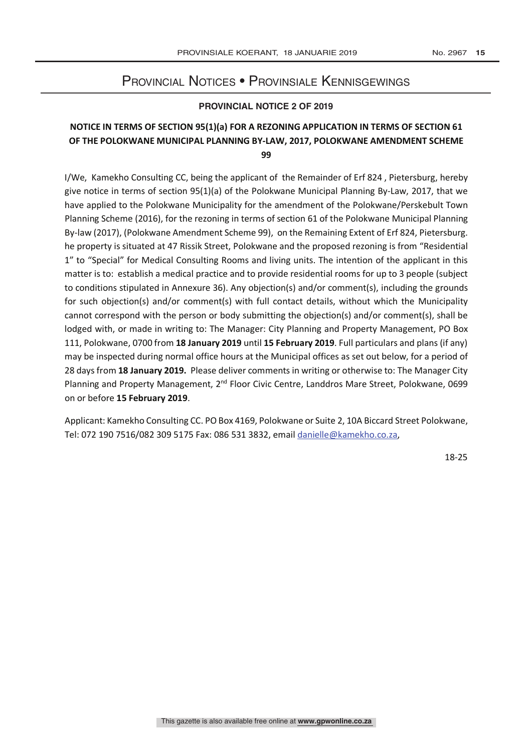## Provincial Notices • Provinsiale Kennisgewings

#### **PROVINCIAL NOTICE 2 OF 2019**

### **NOTICE IN TERMS OF SECTION 95(1)(a) FOR A REZONING APPLICATION IN TERMS OF SECTION 61 OF THE POLOKWANE MUNICIPAL PLANNING BY-LAW, 2017, POLOKWANE AMENDMENT SCHEME 99**

I/We, Kamekho Consulting CC, being the applicant of the Remainder of Erf 824 , Pietersburg, hereby give notice in terms of section 95(1)(a) of the Polokwane Municipal Planning By-Law, 2017, that we have applied to the Polokwane Municipality for the amendment of the Polokwane/Perskebult Town Planning Scheme (2016), for the rezoning in terms of section 61 of the Polokwane Municipal Planning By-law (2017), (Polokwane Amendment Scheme 99), on the Remaining Extent of Erf 824, Pietersburg. he property is situated at 47 Rissik Street, Polokwane and the proposed rezoning is from "Residential 1" to "Special" for Medical Consulting Rooms and living units. The intention of the applicant in this matter is to: establish a medical practice and to provide residential rooms for up to 3 people (subject to conditions stipulated in Annexure 36). Any objection(s) and/or comment(s), including the grounds for such objection(s) and/or comment(s) with full contact details, without which the Municipality cannot correspond with the person or body submitting the objection(s) and/or comment(s), shall be lodged with, or made in writing to: The Manager: City Planning and Property Management, PO Box 111, Polokwane, 0700 from **18 January 2019** until **15 February 2019**. Full particulars and plans (if any) may be inspected during normal office hours at the Municipal offices as set out below, for a period of 28 days from **18 January 2019.** Please deliver comments in writing or otherwise to: The Manager City Planning and Property Management, 2<sup>nd</sup> Floor Civic Centre, Landdros Mare Street, Polokwane, 0699 on or before **15 February 2019**.

Applicant: Kamekho Consulting CC. PO Box 4169, Polokwane or Suite 2, 10A Biccard Street Polokwane, Tel: 072 190 7516/082 309 5175 Fax: 086 531 3832, email danielle@kamekho.co.za,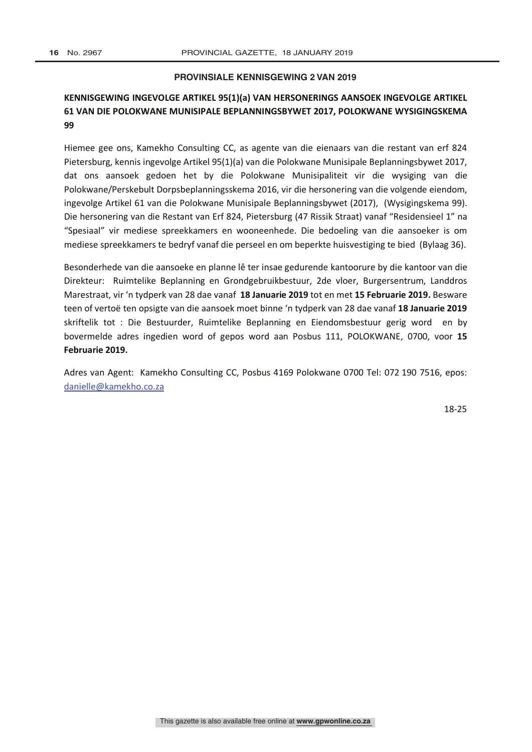#### **PROVINSIALE KENNISGEWING 2 VAN 2019**

### **KENNISGEWING INGEVOLGE ARTIKEL 95(1)(a) VAN HERSONERINGS AANSOEK INGEVOLGE ARTIKEL 61 VAN DIE POLOKWANE MUNISIPALE BEPLANNINGSBYWET 2017, POLOKWANE WYSIGINGSKEMA 99**

Hiemee gee ons, Kamekho Consulting CC, as agente van die eienaars van die restant van erf 824 Pietersburg, kennis ingevolge Artikel 95(1)(a) van die Polokwane Munisipale Beplanningsbywet 2017, dat ons aansoek gedoen het by die Polokwane Munisipaliteit vir die wysiging van die Polokwane/Perskebult Dorpsbeplanningsskema 2016, vir die hersonering van die volgende eiendom, ingevolge Artikel 61 van die Polokwane Munisipale Beplanningsbywet (2017), (Wysigingskema 99). Die hersonering van die Restant van Erf 824, Pietersburg (47 Rissik Straat) vanaf "Residensieel 1" na "Spesiaal" vir mediese spreekkamers en wooneenhede. Die bedoeling van die aansoeker is om mediese spreekkamers te bedryf vanaf die perseel en om beperkte huisvestiging te bied (Bylaag 36).

Besonderhede van die aansoeke en planne lê ter insae gedurende kantoorure by die kantoor van die Direkteur: Ruimtelike Beplanning en Grondgebruikbestuur, 2de vloer, Burgersentrum, Landdros Marestraat, vir 'n tydperk van 28 dae vanaf **18 Januarie 2019** tot en met **15 Februarie 2019.** Besware teen of vertoë ten opsigte van die aansoek moet binne 'n tydperk van 28 dae vanaf **18 Januarie 2019** skriftelik tot : Die Bestuurder, Ruimtelike Beplanning en Eiendomsbestuur gerig word en by bovermelde adres ingedien word of gepos word aan Posbus 111, POLOKWANE, 0700, voor **15 Februarie 2019.**

Adres van Agent: Kamekho Consulting CC, Posbus 4169 Polokwane 0700 Tel: 072 190 7516, epos: danielle@kamekho.co.za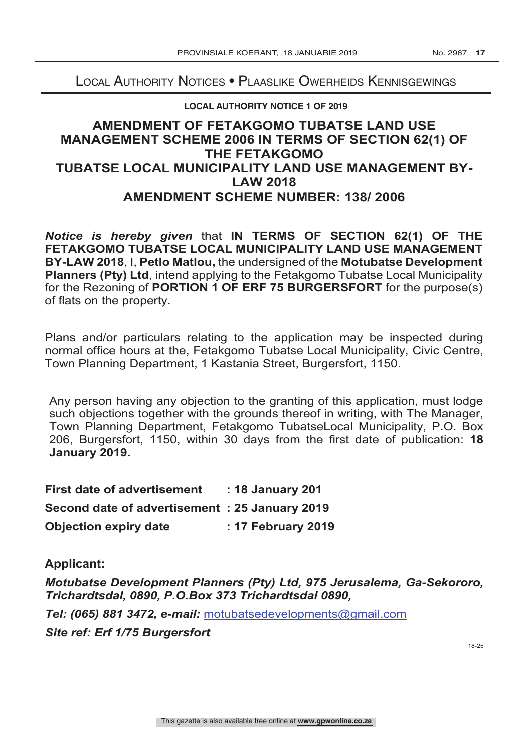Local Authority Notices • Plaaslike Owerheids Kennisgewings

#### **LOCAL AUTHORITY NOTICE 1 OF 2019 LOCAL AUTHONITY NOTICE TUP**

## **AMENDMENT OF FETAKGOMO TUBATSE LAND USE MANAGEMENT SCHEME 2006 IN TERMS OF SECTION 62(1) OF THE FETAKGOMO TUBATSE LOCAL MUNICIPALITY LAND USE MANAGEMENT BY-LAW 2018 AMENDMENT SCHEME NUMBER: 138/ 2006**

*Notice is hereby given* that **IN TERMS OF SECTION 62(1) OF THE FETAKGOMO TUBATSE LOCAL MUNICIPALITY LAND USE MANAGEMENT BY-LAW 2018**, I, **Petlo Matlou,** the undersigned of the **Motubatse Development Planners (Pty) Ltd**, intend applying to the Fetakgomo Tubatse Local Municipality for the Rezoning of **PORTION 1 OF ERF 75 BURGERSFORT** for the purpose(s) of flats on the property.

Plans and/or particulars relating to the application may be inspected during normal office hours at the, Fetakgomo Tubatse Local Municipality, Civic Centre, Town Planning Department, 1 Kastania Street, Burgersfort, 1150.

Any person having any objection to the granting of this application, must lodge such objections together with the grounds thereof in writing, with The Manager, Town Planning Department, Fetakgomo TubatseLocal Municipality, P.O. Box 206, Burgersfort, 1150, within 30 days from the first date of publication: **18 January 2019.**

**First date of advertisement : 18 January 201 Second date of advertisement : 25 January 2019 Objection expiry date : 17 February 2019**

**Applicant:**

*Motubatse Development Planners (Pty) Ltd, 975 Jerusalema, Ga-Sekororo, Trichardtsdal, 0890, P.O.Box 373 Trichardtsdal 0890,*

*Tel: (065) 881 3472, e-mail:* motubatsedevelopments@gmail.com

*Site ref: Erf 1/75 Burgersfort*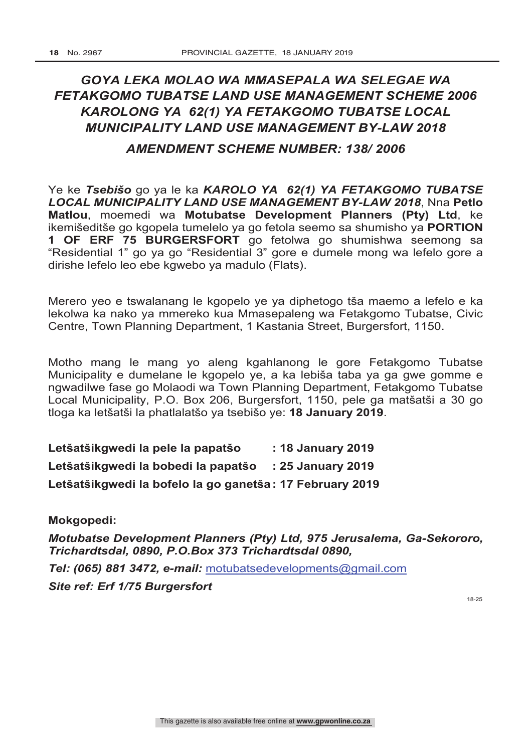## *GOYA LEKA MOLAO WA MMASEPALA WA SELEGAE WA FETAKGOMO TUBATSE LAND USE MANAGEMENT SCHEME 2006 KAROLONG YA 62(1) YA FETAKGOMO TUBATSE LOCAL MUNICIPALITY LAND USE MANAGEMENT BY-LAW 2018*

### *AMENDMENT SCHEME NUMBER: 138/ 2006*

Ye ke *Tsebišo* go ya le ka *KAROLO YA 62(1) YA FETAKGOMO TUBATSE LOCAL MUNICIPALITY LAND USE MANAGEMENT BY-LAW 2018*, Nna **Petlo Matlou**, moemedi wa **Motubatse Development Planners (Pty) Ltd**, ke ikemišeditše go kgopela tumelelo ya go fetola seemo sa shumisho ya **PORTION 1 OF ERF 75 BURGERSFORT** go fetolwa go shumishwa seemong sa "Residential 1" go ya go "Residential 3" gore e dumele mong wa lefelo gore a dirishe lefelo leo ebe kgwebo ya madulo (Flats).

Merero yeo e tswalanang le kgopelo ye ya diphetogo tša maemo a lefelo e ka lekolwa ka nako ya mmereko kua Mmasepaleng wa Fetakgomo Tubatse, Civic Centre, Town Planning Department, 1 Kastania Street, Burgersfort, 1150.

Motho mang le mang yo aleng kgahlanong le gore Fetakgomo Tubatse Municipality e dumelane le kgopelo ye, a ka lebiša taba ya ga gwe gomme e ngwadilwe fase go Molaodi wa Town Planning Department, Fetakgomo Tubatse Local Municipality, P.O. Box 206, Burgersfort, 1150, pele ga matšatši a 30 go tloga ka letšatši la phatlalatšo ya tsebišo ye: **18 January 2019**.

**Letšatšikgwedi la pele la papatšo : 18 January 2019 Letšatšikgwedi la bobedi la papatšo : 25 January 2019 Letšatšikgwedi la bofelo la go ganetša: 17 February 2019**

**Mokgopedi:**

*Motubatse Development Planners (Pty) Ltd, 975 Jerusalema, Ga-Sekororo, Trichardtsdal, 0890, P.O.Box 373 Trichardtsdal 0890,* 

*Tel: (065) 881 3472, e-mail:* motubatsedevelopments@gmail.com

*Site ref: Erf 1/75 Burgersfort*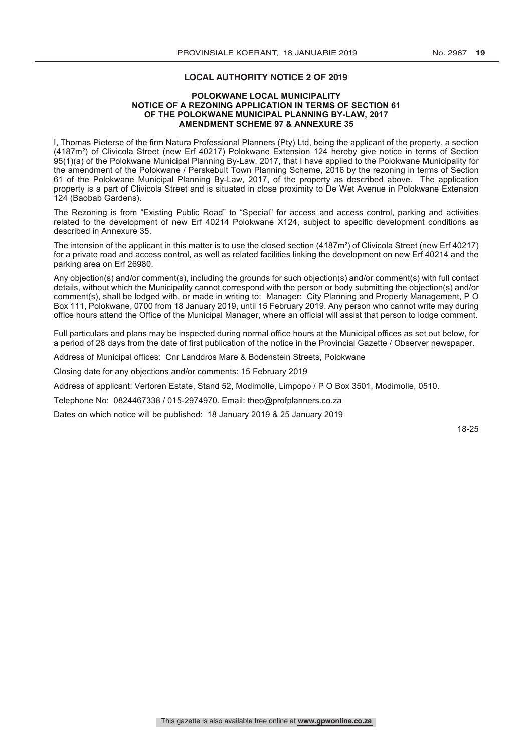#### **LOCAL AUTHORITY NOTICE 2 OF 2019**

#### **POLOKWANE LOCAL MUNICIPALITY NOTICE OF A REZONING APPLICATION IN TERMS OF SECTION 61 OF THE POLOKWANE MUNICIPAL PLANNING BY-LAW, 2017 AMENDMENT SCHEME 97 & ANNEXURE 35**

I, Thomas Pieterse of the firm Natura Professional Planners (Pty) Ltd, being the applicant of the property, a section (4187m²) of Clivicola Street (new Erf 40217) Polokwane Extension 124 hereby give notice in terms of Section 95(1)(a) of the Polokwane Municipal Planning By-Law, 2017, that I have applied to the Polokwane Municipality for the amendment of the Polokwane / Perskebult Town Planning Scheme, 2016 by the rezoning in terms of Section 61 of the Polokwane Municipal Planning By-Law, 2017, of the property as described above. The application property is a part of Clivicola Street and is situated in close proximity to De Wet Avenue in Polokwane Extension 124 (Baobab Gardens).

The Rezoning is from "Existing Public Road" to "Special" for access and access control, parking and activities related to the development of new Erf 40214 Polokwane X124, subject to specific development conditions as described in Annexure 35.

The intension of the applicant in this matter is to use the closed section (4187m²) of Clivicola Street (new Erf 40217) for a private road and access control, as well as related facilities linking the development on new Erf 40214 and the parking area on Erf 26980.

Any objection(s) and/or comment(s), including the grounds for such objection(s) and/or comment(s) with full contact details, without which the Municipality cannot correspond with the person or body submitting the objection(s) and/or comment(s), shall be lodged with, or made in writing to: Manager: City Planning and Property Management, P O Box 111, Polokwane, 0700 from 18 January 2019, until 15 February 2019. Any person who cannot write may during office hours attend the Office of the Municipal Manager, where an official will assist that person to lodge comment.

Full particulars and plans may be inspected during normal office hours at the Municipal offices as set out below, for a period of 28 days from the date of first publication of the notice in the Provincial Gazette / Observer newspaper.

Address of Municipal offices: Cnr Landdros Mare & Bodenstein Streets, Polokwane

Closing date for any objections and/or comments: 15 February 2019

Address of applicant: Verloren Estate, Stand 52, Modimolle, Limpopo / P O Box 3501, Modimolle, 0510.

Telephone No: 0824467338 / 015-2974970. Email: theo@profplanners.co.za

Dates on which notice will be published: 18 January 2019 & 25 January 2019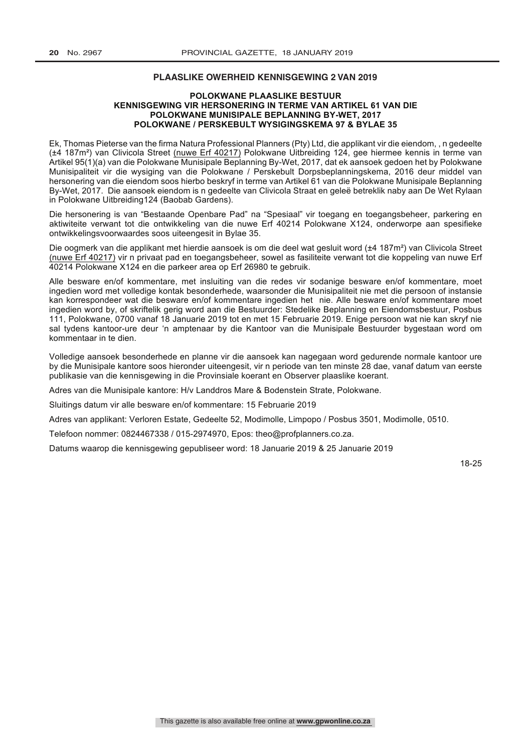#### **PLAASLIKE OWERHEID KENNISGEWING 2 VAN 2019**

#### **POLOKWANE PLAASLIKE BESTUUR KENNISGEWING VIR HERSONERING IN TERME VAN ARTIKEL 61 VAN DIE POLOKWANE MUNISIPALE BEPLANNING BY-WET, 2017 POLOKWANE / PERSKEBULT WYSIGINGSKEMA 97 & BYLAE 35**

Ek, Thomas Pieterse van the firma Natura Professional Planners (Pty) Ltd, die applikant vir die eiendom, , n gedeelte (±4 187m²) van Clivicola Street (nuwe Erf 40217) Polokwane Uitbreiding 124, gee hiermee kennis in terme van Artikel 95(1)(a) van die Polokwane Munisipale Beplanning By-Wet, 2017, dat ek aansoek gedoen het by Polokwane Munisipaliteit vir die wysiging van die Polokwane / Perskebult Dorpsbeplanningskema, 2016 deur middel van hersonering van die eiendom soos hierbo beskryf in terme van Artikel 61 van die Polokwane Munisipale Beplanning By-Wet, 2017. Die aansoek eiendom is n gedeelte van Clivicola Straat en geleë betreklik naby aan De Wet Rylaan in Polokwane Uitbreiding124 (Baobab Gardens).

Die hersonering is van "Bestaande Openbare Pad" na "Spesiaal" vir toegang en toegangsbeheer, parkering en aktiwiteite verwant tot die ontwikkeling van die nuwe Erf 40214 Polokwane X124, onderworpe aan spesifieke ontwikkelingsvoorwaardes soos uiteengesit in Bylae 35.

Die oogmerk van die applikant met hierdie aansoek is om die deel wat gesluit word (±4 187m²) van Clivicola Street (nuwe Erf 40217) vir n privaat pad en toegangsbeheer, sowel as fasiliteite verwant tot die koppeling van nuwe Erf 40214 Polokwane X124 en die parkeer area op Erf 26980 te gebruik.

Alle besware en/of kommentare, met insluiting van die redes vir sodanige besware en/of kommentare, moet ingedien word met volledige kontak besonderhede, waarsonder die Munisipaliteit nie met die persoon of instansie kan korrespondeer wat die besware en/of kommentare ingedien het nie. Alle besware en/of kommentare moet ingedien word by, of skriftelik gerig word aan die Bestuurder: Stedelike Beplanning en Eiendomsbestuur, Posbus 111, Polokwane, 0700 vanaf 18 Januarie 2019 tot en met 15 Februarie 2019. Enige persoon wat nie kan skryf nie sal tydens kantoor-ure deur 'n amptenaar by die Kantoor van die Munisipale Bestuurder bygestaan word om kommentaar in te dien.

Volledige aansoek besonderhede en planne vir die aansoek kan nagegaan word gedurende normale kantoor ure by die Munisipale kantore soos hieronder uiteengesit, vir n periode van ten minste 28 dae, vanaf datum van eerste publikasie van die kennisgewing in die Provinsiale koerant en Observer plaaslike koerant.

Adres van die Munisipale kantore: H/v Landdros Mare & Bodenstein Strate, Polokwane.

Sluitings datum vir alle besware en/of kommentare: 15 Februarie 2019

Adres van applikant: Verloren Estate, Gedeelte 52, Modimolle, Limpopo / Posbus 3501, Modimolle, 0510.

Telefoon nommer: 0824467338 / 015-2974970, Epos: theo@profplanners.co.za.

Datums waarop die kennisgewing gepubliseer word: 18 Januarie 2019 & 25 Januarie 2019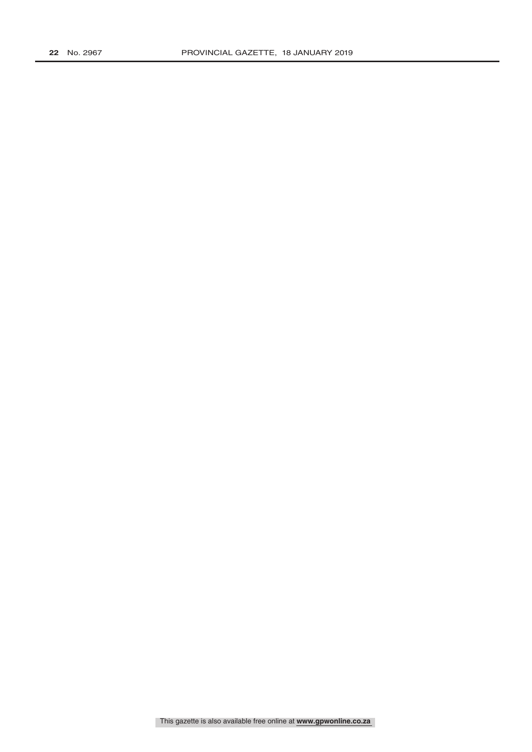This gazette is also available free online at **www.gpwonline.co.za**